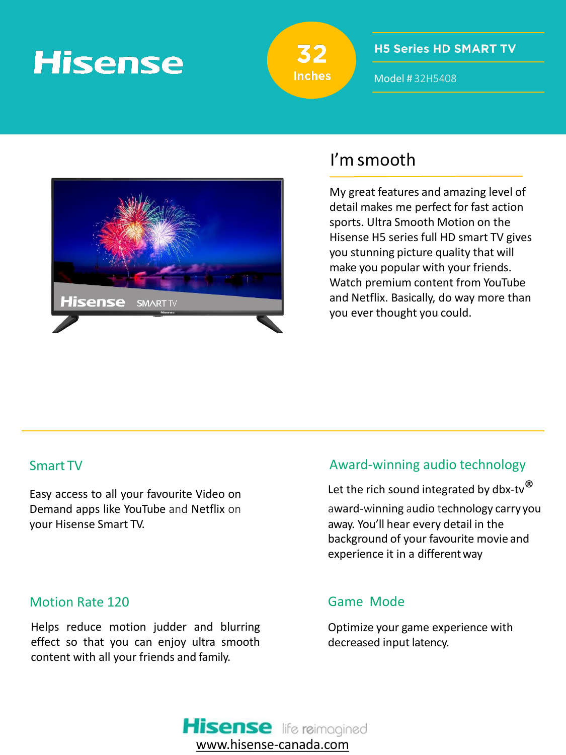# **Hisense**



## **H5 Series HD SMART TV**

Model # 32H5408



# I'm smooth

My great features and amazing level of detail makes me perfect for fast action sports. Ultra Smooth Motion on the Hisense H5 series full HD smart TV gives you stunning picture quality that will make you popular with your friends. Watch premium content from YouTube and Netflix. Basically, do way more than you ever thought you could.

## Smart TV

Easy access to all your favourite Video on Demand apps like YouTube and Netflix on your Hisense Smart TV.

## Motion Rate 120

Helps reduce motion judder and blurring effect so that you can enjoy ultra smooth content with all your friends and family.

# Award-winning audio technology

Let the rich sound integrated by dbx-tv $^{\circledR}$ award-winning audio technology carry you away. You'll hear every detail in the background of your favourite movie and experience it in a different way

## Game Mode

Optimize your game experience with decreased input latency.